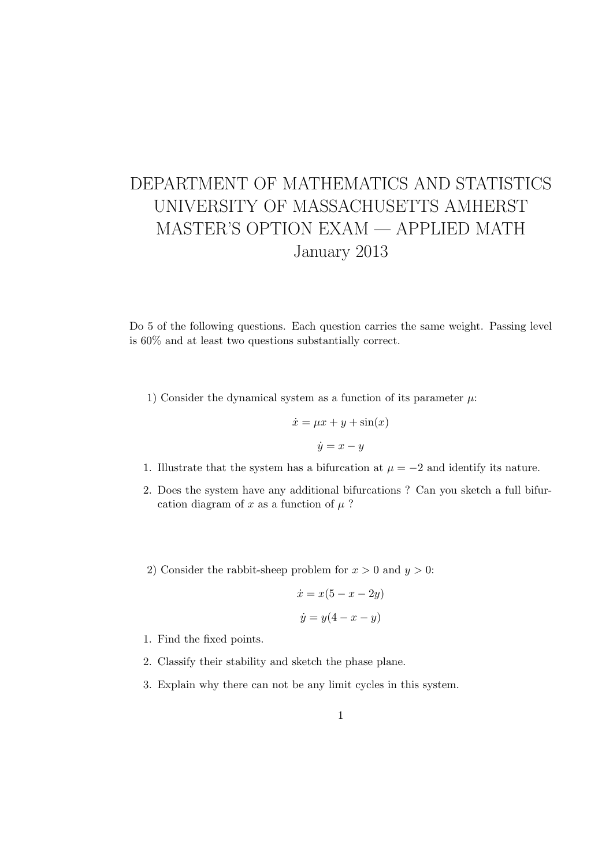## DEPARTMENT OF MATHEMATICS AND STATISTICS UNIVERSITY OF MASSACHUSETTS AMHERST MASTER'S OPTION EXAM — APPLIED MATH January 2013

Do 5 of the following questions. Each question carries the same weight. Passing level is 60% and at least two questions substantially correct.

1) Consider the dynamical system as a function of its parameter  $\mu$ :

$$
\dot{x} = \mu x + y + \sin(x)
$$

$$
\dot{y} = x - y
$$

- 1. Illustrate that the system has a bifurcation at  $\mu = -2$  and identify its nature.
- 2. Does the system have any additional bifurcations ? Can you sketch a full bifurcation diagram of x as a function of  $\mu$ ?
- 2) Consider the rabbit-sheep problem for  $x > 0$  and  $y > 0$ :

$$
\dot{x} = x(5 - x - 2y)
$$

$$
\dot{y} = y(4 - x - y)
$$

- 1. Find the fixed points.
- 2. Classify their stability and sketch the phase plane.
- 3. Explain why there can not be any limit cycles in this system.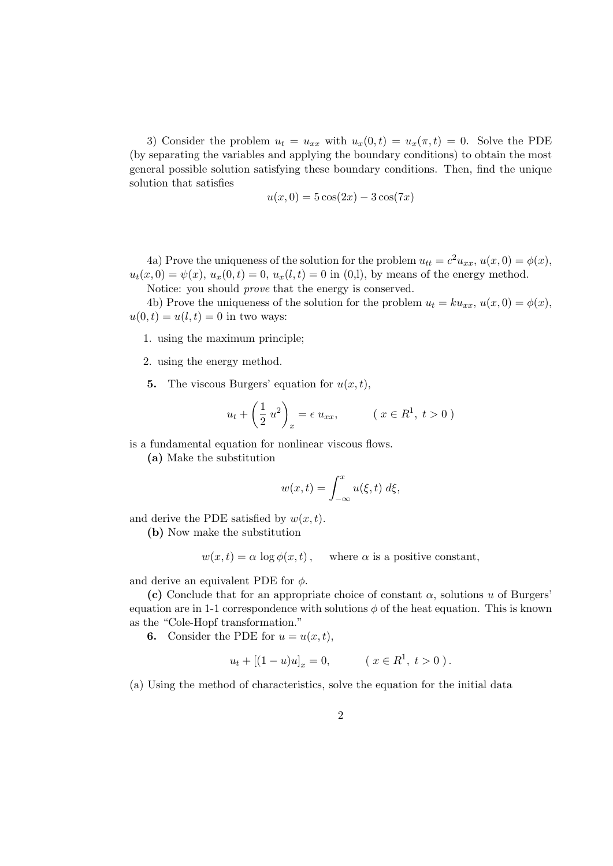3) Consider the problem  $u_t = u_{xx}$  with  $u_x(0,t) = u_x(\pi, t) = 0$ . Solve the PDE (by separating the variables and applying the boundary conditions) to obtain the most general possible solution satisfying these boundary conditions. Then, find the unique solution that satisfies

$$
u(x,0) = 5\cos(2x) - 3\cos(7x)
$$

4a) Prove the uniqueness of the solution for the problem  $u_{tt} = c^2 u_{xx}$ ,  $u(x, 0) = \phi(x)$ ,  $u_t(x, 0) = \psi(x), u_x(0, t) = 0, u_x(l, t) = 0$  in (0,1), by means of the energy method.

Notice: you should prove that the energy is conserved.

4b) Prove the uniqueness of the solution for the problem  $u_t = k u_{xx}$ ,  $u(x, 0) = \phi(x)$ ,  $u(0, t) = u(l, t) = 0$  in two ways:

- 1. using the maximum principle;
- 2. using the energy method.
- **5.** The viscous Burgers' equation for  $u(x, t)$ ,

$$
u_t + \left(\frac{1}{2}u^2\right)_x = \epsilon u_{xx}, \qquad (x \in R^1, t > 0)
$$

is a fundamental equation for nonlinear viscous flows.

(a) Make the substitution

$$
w(x,t) = \int_{-\infty}^{x} u(\xi, t) \; d\xi,
$$

and derive the PDE satisfied by  $w(x, t)$ .

(b) Now make the substitution

$$
w(x,t) = \alpha \log \phi(x,t)
$$
, where  $\alpha$  is a positive constant,

and derive an equivalent PDE for  $\phi$ .

(c) Conclude that for an appropriate choice of constant  $\alpha$ , solutions u of Burgers' equation are in 1-1 correspondence with solutions  $\phi$  of the heat equation. This is known as the "Cole-Hopf transformation."

**6.** Consider the PDE for  $u = u(x, t)$ ,

$$
u_t + [(1 - u)u]_x = 0, \qquad (x \in R^1, t > 0).
$$

(a) Using the method of characteristics, solve the equation for the initial data